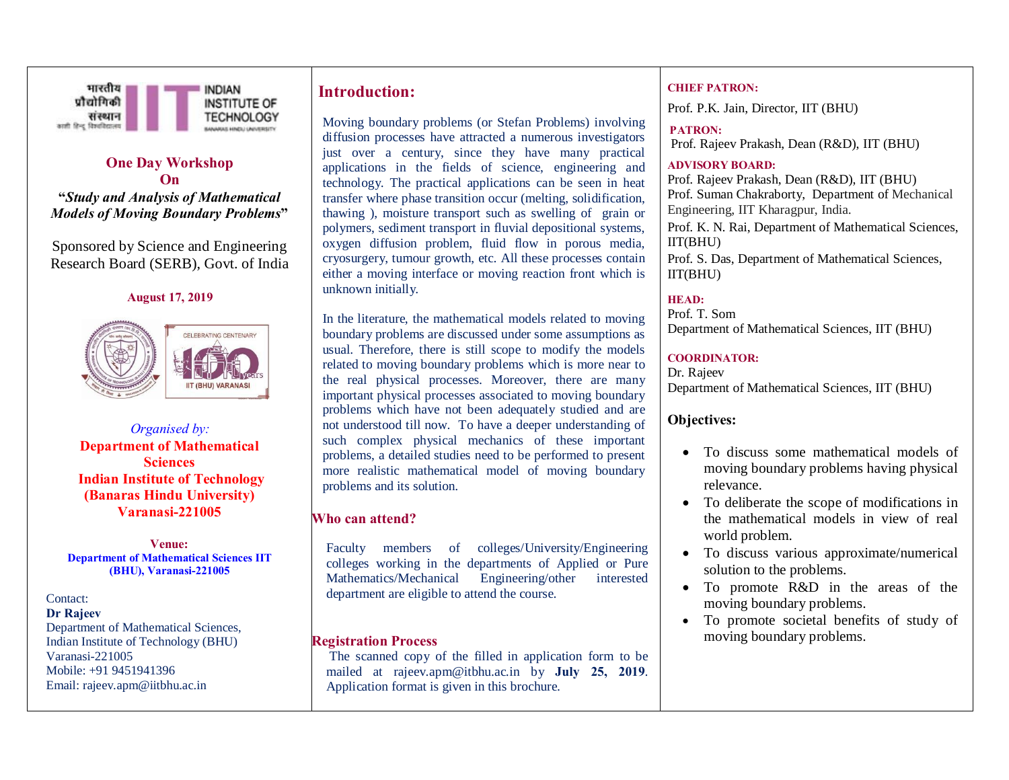

# **One Day Workshop On**

**"***Study and Analysis of Mathematical Models of Moving Boundary Problems***"**

Sponsored by Science and Engineering Research Board (SERB), Govt. of India

#### **August 17, 2019**



*Organised by:* **Department of Mathematical Sciences Indian Institute of Technology (Banaras Hindu University) Varanasi-221005**

**Venue: Department of Mathematical Sciences IIT (BHU), Varanasi-221005**

Contact: **Dr Rajeev**  Department of Mathematical Sciences, Indian Institute of Technology (BHU) Varanasi-221005 Mobile: +91 9451941396 Email: rajeev.apm@iitbhu.ac.in

# **Introduction:**

Moving boundary problems (or Stefan Problems) involving diffusion processes have attracted a numerous investigators just over a century, since they have many practical applications in the fields of science, engineering and technology. The practical applications can be seen in heat transfer where phase transition occur (melting, solidification, thawing ), moisture transport such as swelling of grain or polymers, sediment transport in fluvial depositional systems, oxygen diffusion problem, fluid flow in porous media, cryosurgery, tumour growth, etc. All these processes contain either a moving interface or moving reaction front which is unknown initially.

In the literature, the mathematical models related to moving boundary problems are discussed under some assumptions as usual. Therefore, there is still scope to modify the models related to moving boundary problems which is more near to the real physical processes. Moreover, there are many important physical processes associated to moving boundary problems which have not been adequately studied and are not understood till now. To have a deeper understanding of such complex physical mechanics of these important problems, a detailed studies need to be performed to present more realistic mathematical model of moving boundary problems and its solution.

## **Who can attend?**

Faculty members of colleges/University/Engineering colleges working in the departments of Applied or Pure Mathematics/Mechanical Engineering/other interested department are eligible to attend the course.

## **Registration Process**

The scanned copy of the filled in application form to be mailed at rajeev.apm@itbhu.ac.in by **July 25, 2019**. Application format is given in this brochure.

### **CHIEF PATRON:**

Prof. P.K. Jain, Director, IIT (BHU)

# **PATRON:**

Prof. Rajeev Prakash, Dean (R&D), IIT (BHU)

### **ADVISORY BOARD:**

Prof. Rajeev Prakash, Dean (R&D), IIT (BHU) Prof. Suman Chakraborty, Department of Mechanical Engineering, IIT Kharagpur, India.

Prof. K. N. Rai, Department of Mathematical Sciences, IIT(BHU)

Prof. S. Das, Department of Mathematical Sciences, IIT(BHU)

## **HEAD:**

Prof. T. Som Department of Mathematical Sciences, IIT (BHU)

### **COORDINATOR:**

Dr. Rajeev Department of Mathematical Sciences, IIT (BHU)

# **Objectives:**

- · To discuss some mathematical models of moving boundary problems having physical relevance.
- · To deliberate the scope of modifications in the mathematical models in view of real world problem.
- · To discuss various approximate/numerical solution to the problems.
- · To promote R&D in the areas of the moving boundary problems.
- · To promote societal benefits of study of moving boundary problems.